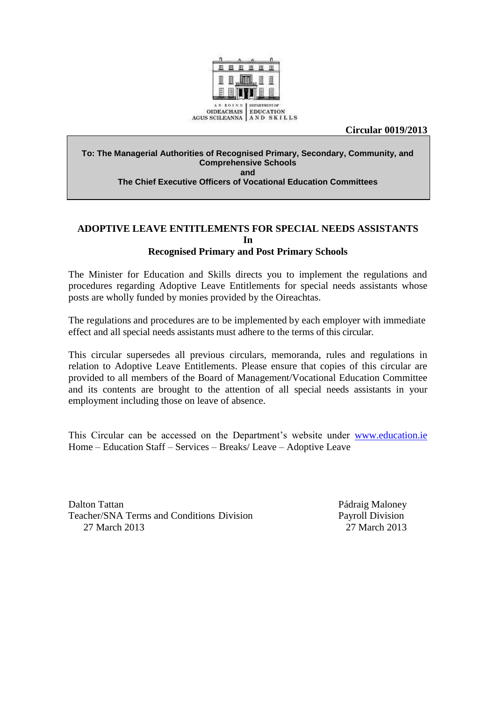

**Circular 0019/2013**

#### **To: The Managerial Authorities of Recognised Primary, Secondary, Community, and Comprehensive Schools**

**and**

**The Chief Executive Officers of Vocational Education Committees**

### **ADOPTIVE LEAVE ENTITLEMENTS FOR SPECIAL NEEDS ASSISTANTS In Recognised Primary and Post Primary Schools**

The Minister for Education and Skills directs you to implement the regulations and procedures regarding Adoptive Leave Entitlements for special needs assistants whose posts are wholly funded by monies provided by the Oireachtas.

The regulations and procedures are to be implemented by each employer with immediate effect and all special needs assistants must adhere to the terms of this circular.

This circular supersedes all previous circulars, memoranda, rules and regulations in relation to Adoptive Leave Entitlements. Please ensure that copies of this circular are provided to all members of the Board of Management/Vocational Education Committee and its contents are brought to the attention of all special needs assistants in your employment including those on leave of absence.

This Circular can be accessed on the Department's website under [www.education.ie](http://www.education.ie/) Home – Education Staff – Services – Breaks/ Leave – Adoptive Leave

Dalton Tattan Pádraig Maloney Teacher/SNA Terms and Conditions Division Payroll Division 27 March 2013 27 March 2013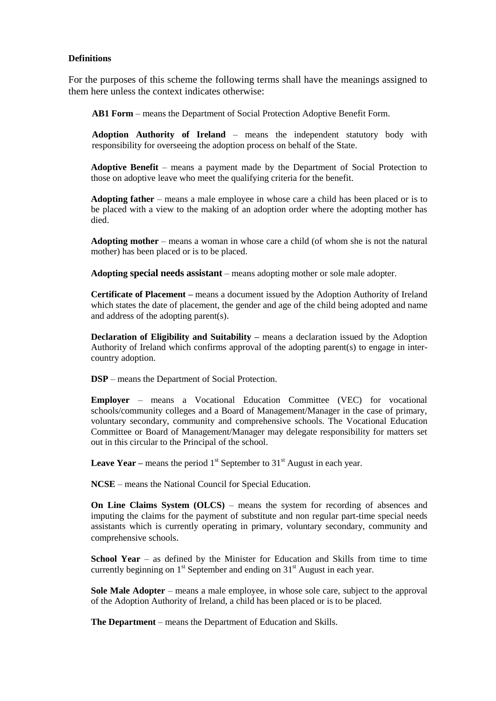#### **Definitions**

For the purposes of this scheme the following terms shall have the meanings assigned to them here unless the context indicates otherwise:

**AB1 Form** – means the Department of Social Protection Adoptive Benefit Form.

**Adoption Authority of Ireland** – means the independent statutory body with responsibility for overseeing the adoption process on behalf of the State.

**Adoptive Benefit** – means a payment made by the Department of Social Protection to those on adoptive leave who meet the qualifying criteria for the benefit.

**Adopting father** – means a male employee in whose care a child has been placed or is to be placed with a view to the making of an adoption order where the adopting mother has died.

**Adopting mother** – means a woman in whose care a child (of whom she is not the natural mother) has been placed or is to be placed.

**Adopting special needs assistant** – means adopting mother or sole male adopter.

**Certificate of Placement –** means a document issued by the Adoption Authority of Ireland which states the date of placement, the gender and age of the child being adopted and name and address of the adopting parent(s).

**Declaration of Eligibility and Suitability –** means a declaration issued by the Adoption Authority of Ireland which confirms approval of the adopting parent(s) to engage in intercountry adoption.

**DSP** – means the Department of Social Protection.

**Employer** – means a Vocational Education Committee (VEC) for vocational schools/community colleges and a Board of Management/Manager in the case of primary, voluntary secondary, community and comprehensive schools. The Vocational Education Committee or Board of Management/Manager may delegate responsibility for matters set out in this circular to the Principal of the school.

**Leave Year** – means the period  $1<sup>st</sup>$  September to  $31<sup>st</sup>$  August in each year.

**NCSE** – means the National Council for Special Education.

**On Line Claims System (OLCS)** – means the system for recording of absences and imputing the claims for the payment of substitute and non regular part-time special needs assistants which is currently operating in primary, voluntary secondary, community and comprehensive schools.

**School Year** – as defined by the Minister for Education and Skills from time to time currently beginning on  $1<sup>st</sup>$  September and ending on  $31<sup>st</sup>$  August in each year.

**Sole Male Adopter** – means a male employee, in whose sole care, subject to the approval of the Adoption Authority of Ireland, a child has been placed or is to be placed.

**The Department** – means the Department of Education and Skills.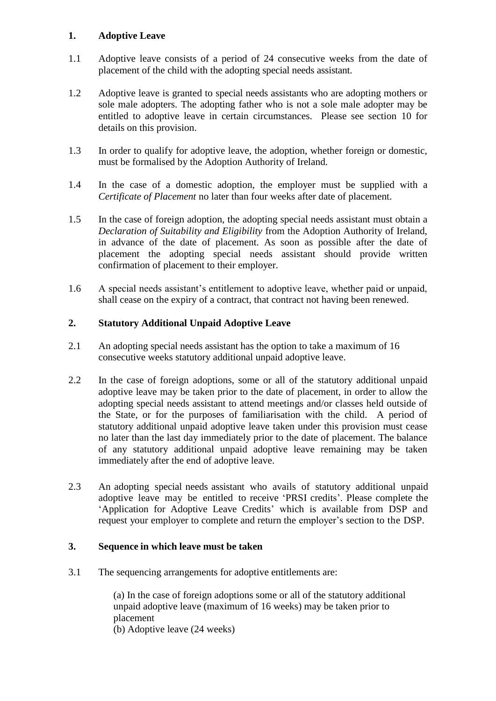# **1. Adoptive Leave**

- 1.1 Adoptive leave consists of a period of 24 consecutive weeks from the date of placement of the child with the adopting special needs assistant.
- 1.2 Adoptive leave is granted to special needs assistants who are adopting mothers or sole male adopters. The adopting father who is not a sole male adopter may be entitled to adoptive leave in certain circumstances. Please see section 10 for details on this provision.
- 1.3 In order to qualify for adoptive leave, the adoption, whether foreign or domestic, must be formalised by the Adoption Authority of Ireland.
- 1.4 In the case of a domestic adoption, the employer must be supplied with a *Certificate of Placement* no later than four weeks after date of placement.
- 1.5 In the case of foreign adoption, the adopting special needs assistant must obtain a *Declaration of Suitability and Eligibility* from the Adoption Authority of Ireland, in advance of the date of placement. As soon as possible after the date of placement the adopting special needs assistant should provide written confirmation of placement to their employer.
- 1.6 A special needs assistant's entitlement to adoptive leave, whether paid or unpaid, shall cease on the expiry of a contract, that contract not having been renewed.

# **2. Statutory Additional Unpaid Adoptive Leave**

- 2.1 An adopting special needs assistant has the option to take a maximum of 16 consecutive weeks statutory additional unpaid adoptive leave.
- 2.2 In the case of foreign adoptions, some or all of the statutory additional unpaid adoptive leave may be taken prior to the date of placement, in order to allow the adopting special needs assistant to attend meetings and/or classes held outside of the State, or for the purposes of familiarisation with the child. A period of statutory additional unpaid adoptive leave taken under this provision must cease no later than the last day immediately prior to the date of placement. The balance of any statutory additional unpaid adoptive leave remaining may be taken immediately after the end of adoptive leave.
- 2.3 An adopting special needs assistant who avails of statutory additional unpaid adoptive leave may be entitled to receive 'PRSI credits'. Please complete the 'Application for Adoptive Leave Credits' which is available from DSP and request your employer to complete and return the employer's section to the DSP.

# **3. Sequence in which leave must be taken**

3.1 The sequencing arrangements for adoptive entitlements are:

(a) In the case of foreign adoptions some or all of the statutory additional unpaid adoptive leave (maximum of 16 weeks) may be taken prior to placement (b) Adoptive leave (24 weeks)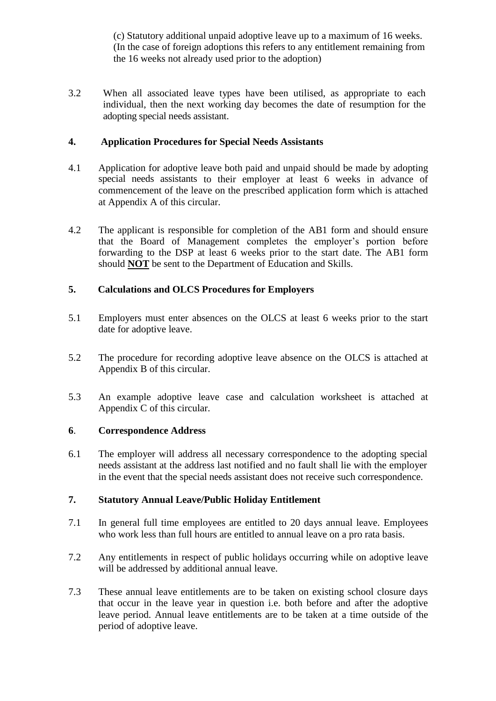(c) Statutory additional unpaid adoptive leave up to a maximum of 16 weeks. (In the case of foreign adoptions this refers to any entitlement remaining from the 16 weeks not already used prior to the adoption)

3.2 When all associated leave types have been utilised, as appropriate to each individual, then the next working day becomes the date of resumption for the adopting special needs assistant.

# **4. Application Procedures for Special Needs Assistants**

- 4.1 Application for adoptive leave both paid and unpaid should be made by adopting special needs assistants to their employer at least 6 weeks in advance of commencement of the leave on the prescribed application form which is attached at Appendix A of this circular.
- 4.2 The applicant is responsible for completion of the AB1 form and should ensure that the Board of Management completes the employer's portion before forwarding to the DSP at least 6 weeks prior to the start date. The AB1 form should **NOT** be sent to the Department of Education and Skills.

# **5. Calculations and OLCS Procedures for Employers**

- 5.1 Employers must enter absences on the OLCS at least 6 weeks prior to the start date for adoptive leave.
- 5.2 The procedure for recording adoptive leave absence on the OLCS is attached at Appendix B of this circular.
- 5.3 An example adoptive leave case and calculation worksheet is attached at Appendix C of this circular.

#### **6**. **Correspondence Address**

6.1 The employer will address all necessary correspondence to the adopting special needs assistant at the address last notified and no fault shall lie with the employer in the event that the special needs assistant does not receive such correspondence.

### **7. Statutory Annual Leave/Public Holiday Entitlement**

- 7.1 In general full time employees are entitled to 20 days annual leave. Employees who work less than full hours are entitled to annual leave on a pro rata basis.
- 7.2 Any entitlements in respect of public holidays occurring while on adoptive leave will be addressed by additional annual leave.
- 7.3 These annual leave entitlements are to be taken on existing school closure days that occur in the leave year in question i.e. both before and after the adoptive leave period. Annual leave entitlements are to be taken at a time outside of the period of adoptive leave.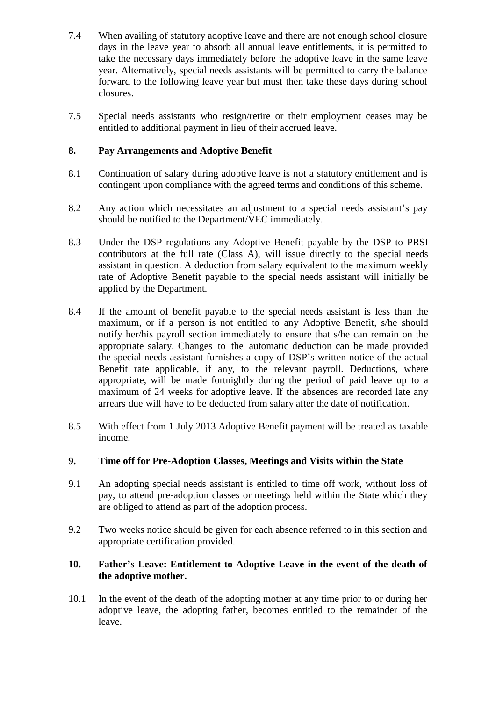- 7.4 When availing of statutory adoptive leave and there are not enough school closure days in the leave year to absorb all annual leave entitlements, it is permitted to take the necessary days immediately before the adoptive leave in the same leave year. Alternatively, special needs assistants will be permitted to carry the balance forward to the following leave year but must then take these days during school closures.
- 7.5 Special needs assistants who resign/retire or their employment ceases may be entitled to additional payment in lieu of their accrued leave.

# **8. Pay Arrangements and Adoptive Benefit**

- 8.1 Continuation of salary during adoptive leave is not a statutory entitlement and is contingent upon compliance with the agreed terms and conditions of this scheme.
- 8.2 Any action which necessitates an adjustment to a special needs assistant's pay should be notified to the Department/VEC immediately.
- 8.3 Under the DSP regulations any Adoptive Benefit payable by the DSP to PRSI contributors at the full rate (Class A), will issue directly to the special needs assistant in question. A deduction from salary equivalent to the maximum weekly rate of Adoptive Benefit payable to the special needs assistant will initially be applied by the Department.
- 8.4 If the amount of benefit payable to the special needs assistant is less than the maximum, or if a person is not entitled to any Adoptive Benefit, s/he should notify her/his payroll section immediately to ensure that s/he can remain on the appropriate salary. Changes to the automatic deduction can be made provided the special needs assistant furnishes a copy of DSP's written notice of the actual Benefit rate applicable, if any, to the relevant payroll. Deductions, where appropriate, will be made fortnightly during the period of paid leave up to a maximum of 24 weeks for adoptive leave. If the absences are recorded late any arrears due will have to be deducted from salary after the date of notification.
- 8.5 With effect from 1 July 2013 Adoptive Benefit payment will be treated as taxable income.

# **9. Time off for Pre-Adoption Classes, Meetings and Visits within the State**

- 9.1 An adopting special needs assistant is entitled to time off work, without loss of pay, to attend pre-adoption classes or meetings held within the State which they are obliged to attend as part of the adoption process.
- 9.2 Two weeks notice should be given for each absence referred to in this section and appropriate certification provided.

### **10. Father's Leave: Entitlement to Adoptive Leave in the event of the death of the adoptive mother.**

10.1 In the event of the death of the adopting mother at any time prior to or during her adoptive leave, the adopting father, becomes entitled to the remainder of the leave.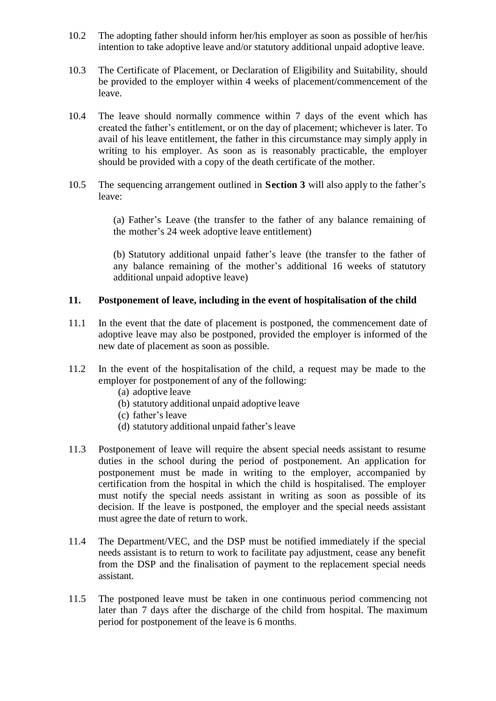- 10.2 The adopting father should inform her/his employer as soon as possible of her/his intention to take adoptive leave and/or statutory additional unpaid adoptive leave.
- 10.3 The Certificate of Placement, or Declaration of Eligibility and Suitability, should be provided to the employer within 4 weeks of placement/commencement of the leave.
- 10.4 The leave should normally commence within 7 days of the event which has created the father's entitlement, or on the day of placement; whichever is later. To avail of his leave entitlement, the father in this circumstance may simply apply in writing to his employer. As soon as is reasonably practicable, the employer should be provided with a copy of the death certificate of the mother.
- 10.5 The sequencing arrangement outlined in **Section 3** will also apply to the father's leave:

(a) Father's Leave (the transfer to the father of any balance remaining of the mother's 24 week adoptive leave entitlement)

(b) Statutory additional unpaid father's leave (the transfer to the father of any balance remaining of the mother's additional 16 weeks of statutory additional unpaid adoptive leave)

### **11. Postponement of leave, including in the event of hospitalisation of the child**

- 11.1 In the event that the date of placement is postponed, the commencement date of adoptive leave may also be postponed, provided the employer is informed of the new date of placement as soon as possible.
- 11.2 In the event of the hospitalisation of the child, a request may be made to the employer for postponement of any of the following:
	- (a) adoptive leave
	- (b) statutory additional unpaid adoptive leave
	- (c) father's leave
	- (d) statutory additional unpaid father's leave
- 11.3 Postponement of leave will require the absent special needs assistant to resume duties in the school during the period of postponement. An application for postponement must be made in writing to the employer, accompanied by certification from the hospital in which the child is hospitalised. The employer must notify the special needs assistant in writing as soon as possible of its decision. If the leave is postponed, the employer and the special needs assistant must agree the date of return to work.
- 11.4 The Department/VEC, and the DSP must be notified immediately if the special needs assistant is to return to work to facilitate pay adjustment, cease any benefit from the DSP and the finalisation of payment to the replacement special needs assistant.
- 11.5 The postponed leave must be taken in one continuous period commencing not later than 7 days after the discharge of the child from hospital. The maximum period for postponement of the leave is 6 months.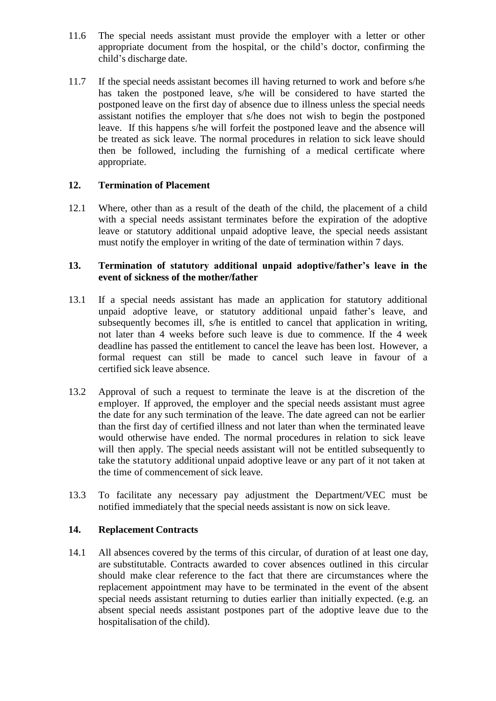- 11.6 The special needs assistant must provide the employer with a letter or other appropriate document from the hospital, or the child's doctor, confirming the child's discharge date.
- 11.7 If the special needs assistant becomes ill having returned to work and before s/he has taken the postponed leave, s/he will be considered to have started the postponed leave on the first day of absence due to illness unless the special needs assistant notifies the employer that s/he does not wish to begin the postponed leave. If this happens s/he will forfeit the postponed leave and the absence will be treated as sick leave. The normal procedures in relation to sick leave should then be followed, including the furnishing of a medical certificate where appropriate.

### **12. Termination of Placement**

12.1 Where, other than as a result of the death of the child, the placement of a child with a special needs assistant terminates before the expiration of the adoptive leave or statutory additional unpaid adoptive leave, the special needs assistant must notify the employer in writing of the date of termination within 7 days.

#### **13. Termination of statutory additional unpaid adoptive/father's leave in the event of sickness of the mother/father**

- 13.1 If a special needs assistant has made an application for statutory additional unpaid adoptive leave, or statutory additional unpaid father's leave, and subsequently becomes ill, s/he is entitled to cancel that application in writing, not later than 4 weeks before such leave is due to commence. If the 4 week deadline has passed the entitlement to cancel the leave has been lost. However, a formal request can still be made to cancel such leave in favour of a certified sick leave absence.
- 13.2 Approval of such a request to terminate the leave is at the discretion of the employer. If approved, the employer and the special needs assistant must agree the date for any such termination of the leave. The date agreed can not be earlier than the first day of certified illness and not later than when the terminated leave would otherwise have ended. The normal procedures in relation to sick leave will then apply. The special needs assistant will not be entitled subsequently to take the statutory additional unpaid adoptive leave or any part of it not taken at the time of commencement of sick leave.
- 13.3 To facilitate any necessary pay adjustment the Department/VEC must be notified immediately that the special needs assistant is now on sick leave.

#### **14. Replacement Contracts**

14.1 All absences covered by the terms of this circular, of duration of at least one day, are substitutable. Contracts awarded to cover absences outlined in this circular should make clear reference to the fact that there are circumstances where the replacement appointment may have to be terminated in the event of the absent special needs assistant returning to duties earlier than initially expected. (e.g. an absent special needs assistant postpones part of the adoptive leave due to the hospitalisation of the child).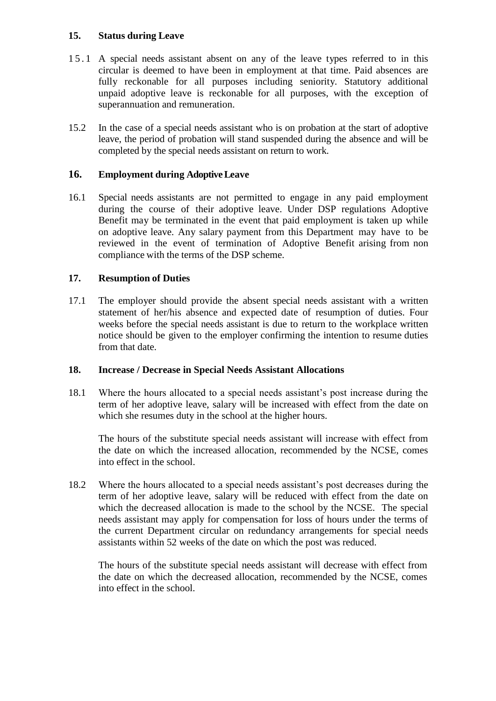### **15. Status during Leave**

- 15.1 A special needs assistant absent on any of the leave types referred to in this circular is deemed to have been in employment at that time. Paid absences are fully reckonable for all purposes including seniority. Statutory additional unpaid adoptive leave is reckonable for all purposes, with the exception of superannuation and remuneration.
- 15.2 In the case of a special needs assistant who is on probation at the start of adoptive leave, the period of probation will stand suspended during the absence and will be completed by the special needs assistant on return to work.

### **16. Employment during AdoptiveLeave**

16.1 Special needs assistants are not permitted to engage in any paid employment during the course of their adoptive leave. Under DSP regulations Adoptive Benefit may be terminated in the event that paid employment is taken up while on adoptive leave. Any salary payment from this Department may have to be reviewed in the event of termination of Adoptive Benefit arising from non compliance with the terms of the DSP scheme.

### **17. Resumption of Duties**

17.1 The employer should provide the absent special needs assistant with a written statement of her/his absence and expected date of resumption of duties. Four weeks before the special needs assistant is due to return to the workplace written notice should be given to the employer confirming the intention to resume duties from that date.

#### **18. Increase / Decrease in Special Needs Assistant Allocations**

18.1 Where the hours allocated to a special needs assistant's post increase during the term of her adoptive leave, salary will be increased with effect from the date on which she resumes duty in the school at the higher hours.

The hours of the substitute special needs assistant will increase with effect from the date on which the increased allocation, recommended by the NCSE, comes into effect in the school.

18.2Where the hours allocated to a special needs assistant's post decreases during the term of her adoptive leave, salary will be reduced with effect from the date on which the decreased allocation is made to the school by the NCSE. The special needs assistant may apply for compensation for loss of hours under the terms of the current Department circular on redundancy arrangements for special needs assistants within 52 weeks of the date on which the post was reduced.

The hours of the substitute special needs assistant will decrease with effect from the date on which the decreased allocation, recommended by the NCSE, comes into effect in the school.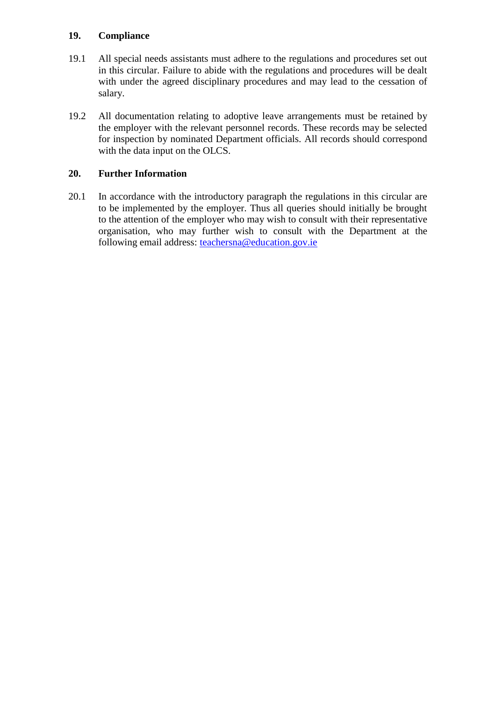# **19. Compliance**

- 19.1 All special needs assistants must adhere to the regulations and procedures set out in this circular. Failure to abide with the regulations and procedures will be dealt with under the agreed disciplinary procedures and may lead to the cessation of salary.
- 19.2 All documentation relating to adoptive leave arrangements must be retained by the employer with the relevant personnel records. These records may be selected for inspection by nominated Department officials. All records should correspond with the data input on the OLCS.

# **20. Further Information**

20.1 In accordance with the introductory paragraph the regulations in this circular are to be implemented by the employer. Thus all queries should initially be brought to the attention of the employer who may wish to consult with their representative organisation, who may further wish to consult with the Department at the following email address: [teachersna@education.gov.ie](mailto:teachersna@education.gov.ie)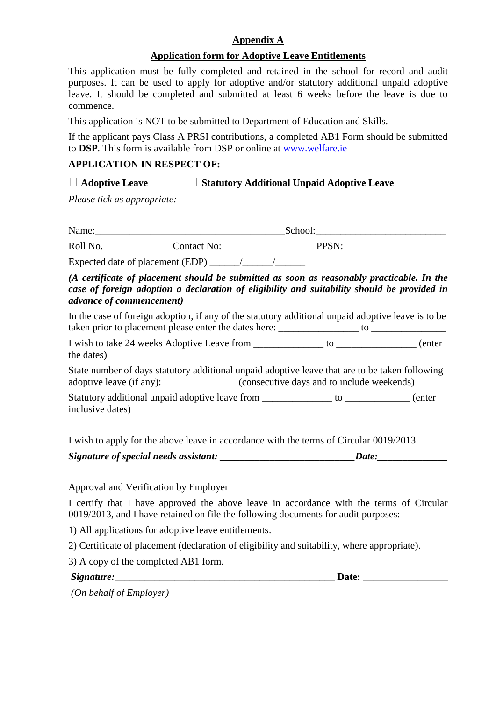# **Appendix A**

# **Application form for Adoptive Leave Entitlements**

This application must be fully completed and retained in the school for record and audit purposes. It can be used to apply for adoptive and/or statutory additional unpaid adoptive leave. It should be completed and submitted at least 6 weeks before the leave is due to commence.

This application is NOT to be submitted to Department of Education and Skills.

If the applicant pays Class A PRSI contributions, a completed AB1 Form should be submitted to **DSP**. This form is available from DSP or online at [www.welfare.ie](http://www.welfare.ie/)

### **APPLICATION IN RESPECT OF:**

# **Adoptive Leave Statutory Additional Unpaid Adoptive Leave**

*Please tick as appropriate:*

| Name:<br>School <sup>.</sup> |             |   |
|------------------------------|-------------|---|
| Roll No.                     | Contact No: | ◡ |

Expected date of placement (EDP)  $\frac{1}{\sqrt{2\pi}}$ 

# *(A certificate of placement should be submitted as soon as reasonably practicable. In the case of foreign adoption a declaration of eligibility and suitability should be provided in advance of commencement)*

In the case of foreign adoption, if any of the statutory additional unpaid adoptive leave is to be taken prior to placement please enter the dates here: \_\_\_\_\_\_\_\_\_\_\_\_\_\_\_\_ to \_\_\_\_\_\_\_\_\_\_\_\_\_\_\_

I wish to take 24 weeks Adoptive Leave from \_\_\_\_\_\_\_\_\_\_\_\_\_\_\_\_ to \_\_\_\_\_\_\_\_\_\_\_\_\_\_\_\_ (enter the dates)

State number of days statutory additional unpaid adoptive leave that are to be taken following adoptive leave (if any): (consecutive days and to include weekends)

Statutory additional unpaid adoptive leave from \_\_\_\_\_\_\_\_\_\_\_\_\_\_\_ to \_\_\_\_\_\_\_\_\_\_\_\_\_ (enter inclusive dates)

I wish to apply for the above leave in accordance with the terms of Circular 0019/2013

| Signature of special needs assistant: | Date: |  |
|---------------------------------------|-------|--|
|                                       |       |  |

Approval and Verification by Employer

I certify that I have approved the above leave in accordance with the terms of Circular 0019/2013, and I have retained on file the following documents for audit purposes:

1) All applications for adoptive leave entitlements.

2) Certificate of placement (declaration of eligibility and suitability, where appropriate).

3) A copy of the completed AB1 form.

| Signature: |
|------------|
|------------|

*Signature:*\_\_\_\_\_\_\_\_\_\_\_\_\_\_\_\_\_\_\_\_\_\_\_\_\_\_\_\_\_\_\_\_\_\_\_\_\_\_\_\_\_\_\_\_ **Date:** \_\_\_\_\_\_\_\_\_\_\_\_\_\_\_\_\_

*(On behalf of Employer)*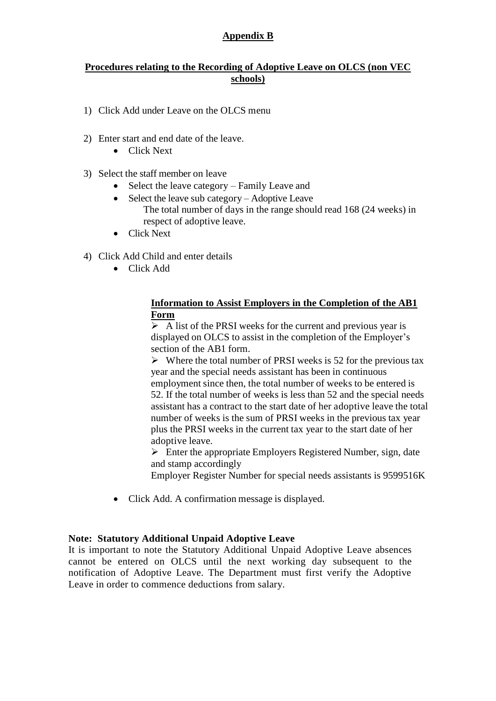# **Appendix B**

#### **Procedures relating to the Recording of Adoptive Leave on OLCS (non VEC schools)**

- 1) Click Add under Leave on the OLCS menu
- 2) Enter start and end date of the leave.
	- Click Next
- 3) Select the staff member on leave
	- Select the leave category Family Leave and
	- Select the leave sub category Adoptive Leave The total number of days in the range should read 168 (24 weeks) in respect of adoptive leave.
	- Click Next
- 4) Click Add Child and enter details
	- Click Add

### **Information to Assist Employers in the Completion of the AB1 Form**

 $\triangleright$  A list of the PRSI weeks for the current and previous year is displayed on OLCS to assist in the completion of the Employer's section of the AB1 form.

 $\triangleright$  Where the total number of PRSI weeks is 52 for the previous tax year and the special needs assistant has been in continuous employment since then, the total number of weeks to be entered is 52. If the total number of weeks is less than 52 and the special needs assistant has a contract to the start date of her adoptive leave the total number of weeks is the sum of PRSI weeks in the previous tax year plus the PRSI weeks in the current tax year to the start date of her adoptive leave.

 $\triangleright$  Enter the appropriate Employers Registered Number, sign, date and stamp accordingly

Employer Register Number for special needs assistants is 9599516K

• Click Add. A confirmation message is displayed.

#### **Note: Statutory Additional Unpaid Adoptive Leave**

It is important to note the Statutory Additional Unpaid Adoptive Leave absences cannot be entered on OLCS until the next working day subsequent to the notification of Adoptive Leave. The Department must first verify the Adoptive Leave in order to commence deductions from salary.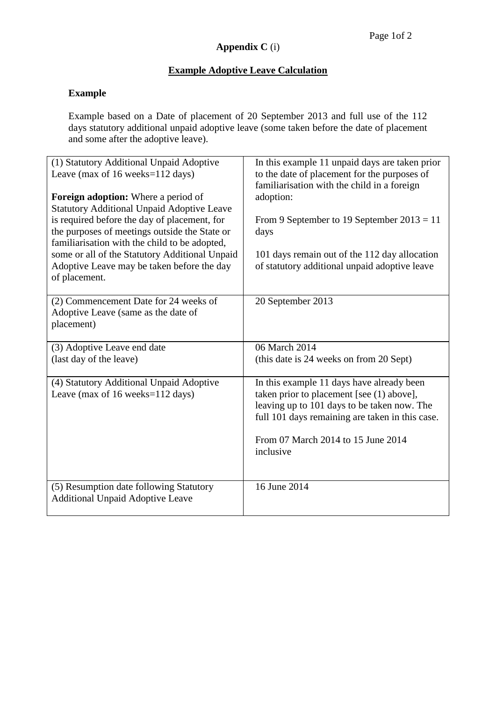# **Appendix C** (i)

# **Example Adoptive Leave Calculation**

# **Example**

Example based on a Date of placement of 20 September 2013 and full use of the 112 days statutory additional unpaid adoptive leave (some taken before the date of placement and some after the adoptive leave).

| (1) Statutory Additional Unpaid Adoptive<br>Leave (max of 16 weeks=112 days)<br><b>Foreign adoption:</b> Where a period of<br><b>Statutory Additional Unpaid Adoptive Leave</b><br>is required before the day of placement, for<br>the purposes of meetings outside the State or<br>familiarisation with the child to be adopted,<br>some or all of the Statutory Additional Unpaid<br>Adoptive Leave may be taken before the day<br>of placement. | In this example 11 unpaid days are taken prior<br>to the date of placement for the purposes of<br>familiarisation with the child in a foreign<br>adoption:<br>From 9 September to 19 September $2013 = 11$<br>days<br>101 days remain out of the 112 day allocation<br>of statutory additional unpaid adoptive leave |  |
|----------------------------------------------------------------------------------------------------------------------------------------------------------------------------------------------------------------------------------------------------------------------------------------------------------------------------------------------------------------------------------------------------------------------------------------------------|----------------------------------------------------------------------------------------------------------------------------------------------------------------------------------------------------------------------------------------------------------------------------------------------------------------------|--|
| (2) Commencement Date for 24 weeks of<br>Adoptive Leave (same as the date of<br>placement)                                                                                                                                                                                                                                                                                                                                                         | 20 September 2013                                                                                                                                                                                                                                                                                                    |  |
| (3) Adoptive Leave end date<br>(last day of the leave)                                                                                                                                                                                                                                                                                                                                                                                             | 06 March 2014<br>(this date is 24 weeks on from 20 Sept)                                                                                                                                                                                                                                                             |  |
| (4) Statutory Additional Unpaid Adoptive<br>Leave (max of 16 weeks=112 days)                                                                                                                                                                                                                                                                                                                                                                       | In this example 11 days have already been<br>taken prior to placement [see (1) above],<br>leaving up to 101 days to be taken now. The<br>full 101 days remaining are taken in this case.<br>From 07 March 2014 to 15 June 2014<br>inclusive                                                                          |  |
| (5) Resumption date following Statutory<br><b>Additional Unpaid Adoptive Leave</b>                                                                                                                                                                                                                                                                                                                                                                 | 16 June 2014                                                                                                                                                                                                                                                                                                         |  |